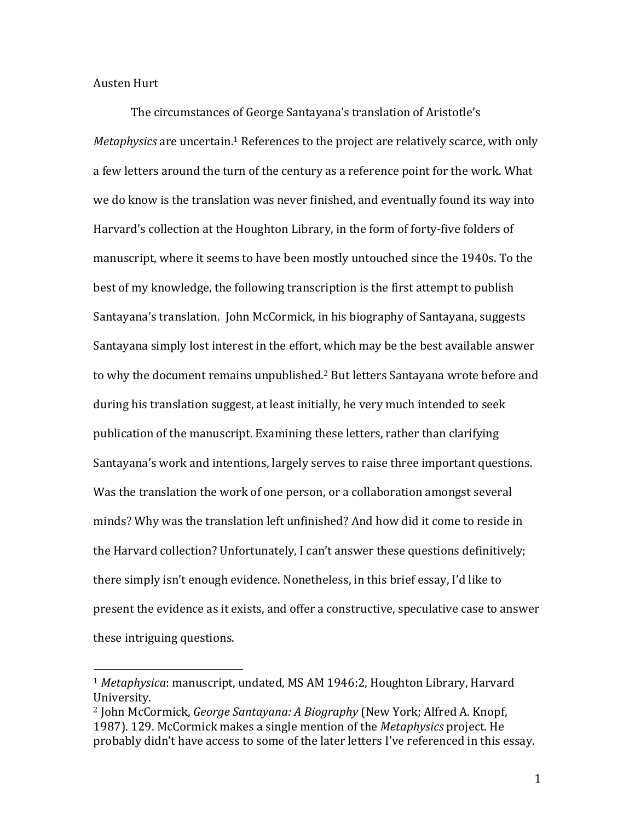## Austen Hurt

The circumstances of George Santayana's translation of Aristotle's Metaphysics are uncertain.<sup>1</sup> References to the project are relatively scarce, with only a few letters around the turn of the century as a reference point for the work. What we do know is the translation was never finished, and eventually found its way into Harvard's collection at the Houghton Library, in the form of forty-five folders of manuscript, where it seems to have been mostly untouched since the 1940s. To the best of my knowledge, the following transcription is the first attempt to publish Santayana's translation. John McCormick, in his biography of Santayana, suggests Santayana simply lost interest in the effort, which may be the best available answer to why the document remains unpublished.<sup>2</sup> But letters Santayana wrote before and during his translation suggest, at least initially, he very much intended to seek publication of the manuscript. Examining these letters, rather than clarifying Santayana's work and intentions, largely serves to raise three important questions. Was the translation the work of one person, or a collaboration amongst several minds? Why was the translation left unfinished? And how did it come to reside in the Harvard collection? Unfortunately, I can't answer these questions definitively; there simply isn't enough evidence. Nonetheless, in this brief essay, I'd like to present the evidence as it exists, and offer a constructive, speculative case to answer these intriguing questions.

<sup>&</sup>lt;sup>1</sup> Metaphysica: manuscript, undated, MS AM 1946:2, Houghton Library, Harvard University.

<sup>&</sup>lt;sup>2</sup> John McCormick, *George Santayana: A Biography* (New York; Alfred A. Knopf, 1987). 129. McCormick makes a single mention of the *Metaphysics* project. He probably didn't have access to some of the later letters I've referenced in this essay.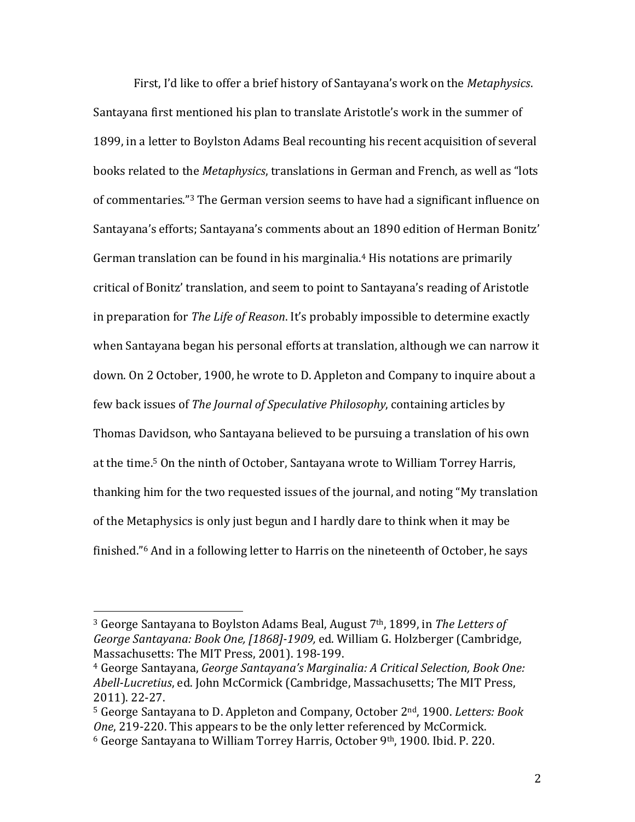First, I'd like to offer a brief history of Santayana's work on the *Metaphysics*. Santayana first mentioned his plan to translate Aristotle's work in the summer of 1899, in a letter to Boylston Adams Beal recounting his recent acquisition of several books related to the *Metaphysics*, translations in German and French, as well as "lots of commentaries."<sup>3</sup> The German version seems to have had a significant influence on Santayana's efforts; Santayana's comments about an 1890 edition of Herman Bonitz' German translation can be found in his marginalia.<sup>4</sup> His notations are primarily critical of Bonitz' translation, and seem to point to Santayana's reading of Aristotle in preparation for *The Life of Reason*. It's probably impossible to determine exactly when Santayana began his personal efforts at translation, although we can narrow it down. On 2 October, 1900, he wrote to D. Appleton and Company to inquire about a few back issues of *The Journal of Speculative Philosophy*, containing articles by Thomas Davidson, who Santayana believed to be pursuing a translation of his own at the time.<sup>5</sup> On the ninth of October, Santayana wrote to William Torrey Harris, thanking him for the two requested issues of the journal, and noting "My translation of the Metaphysics is only just begun and I hardly dare to think when it may be finished."<sup>6</sup> And in a following letter to Harris on the nineteenth of October, he says

<sup>&</sup>lt;sup>3</sup> George Santayana to Boylston Adams Beal, August 7<sup>th</sup>, 1899, in *The Letters of* George Santayana: Book One, [1868]-1909, ed. William G. Holzberger (Cambridge, Massachusetts: The MIT Press, 2001). 198-199.

<sup>&</sup>lt;sup>4</sup> George Santayana, *George Santayana's Marginalia: A Critical Selection, Book One:* Abell-Lucretius, ed. John McCormick (Cambridge, Massachusetts; The MIT Press, 2011). 22-27.

<sup>&</sup>lt;sup>5</sup> George Santayana to D. Appleton and Company, October 2<sup>nd</sup>, 1900. *Letters: Book One*, 219-220. This appears to be the only letter referenced by McCormick.

 $6$  George Santayana to William Torrey Harris, October 9<sup>th</sup>, 1900. Ibid. P. 220.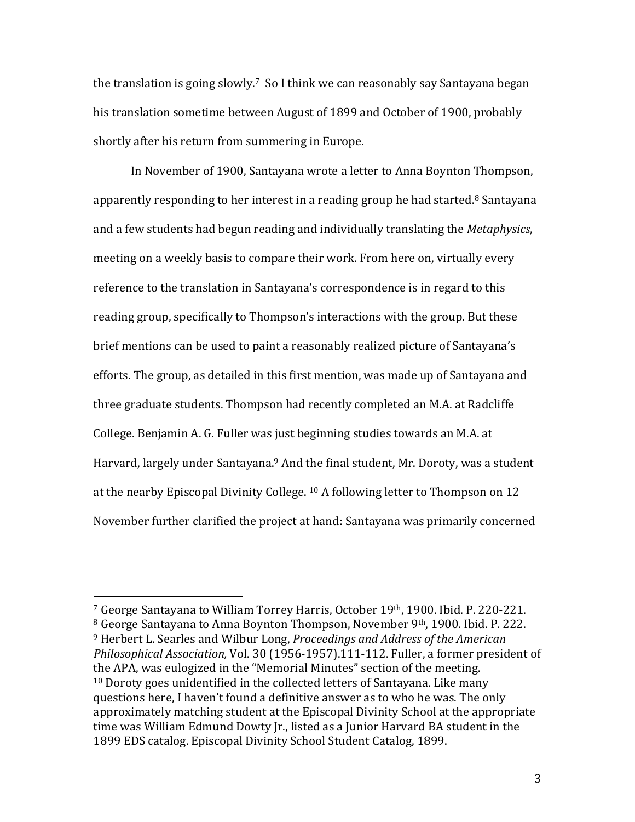the translation is going slowly.<sup>7</sup> So I think we can reasonably say Santayana began his translation sometime between August of 1899 and October of 1900, probably shortly after his return from summering in Europe.

In November of 1900, Santayana wrote a letter to Anna Boynton Thompson, apparently responding to her interest in a reading group he had started.<sup>8</sup> Santayana and a few students had begun reading and individually translating the *Metaphysics*, meeting on a weekly basis to compare their work. From here on, virtually every reference to the translation in Santayana's correspondence is in regard to this reading group, specifically to Thompson's interactions with the group. But these brief mentions can be used to paint a reasonably realized picture of Santayana's efforts. The group, as detailed in this first mention, was made up of Santayana and three graduate students. Thompson had recently completed an M.A. at Radcliffe College. Benjamin A. G. Fuller was just beginning studies towards an M.A. at Harvard, largely under Santayana.<sup>9</sup> And the final student, Mr. Doroty, was a student at the nearby Episcopal Divinity College.  $10$  A following letter to Thompson on 12 November further clarified the project at hand: Santayana was primarily concerned

<sup>&</sup>lt;sup>7</sup> George Santayana to William Torrey Harris, October 19th, 1900. Ibid. P. 220-221.  $8$  George Santayana to Anna Boynton Thompson, November 9th, 1900. Ibid. P. 222. <sup>9</sup> Herbert L. Searles and Wilbur Long, *Proceedings and Address of the American Philosophical Association, Vol.* 30 (1956-1957).111-112. Fuller, a former president of the APA, was eulogized in the "Memorial Minutes" section of the meeting. <sup>10</sup> Doroty goes unidentified in the collected letters of Santayana. Like many questions here, I haven't found a definitive answer as to who he was. The only approximately matching student at the Episcopal Divinity School at the appropriate time was William Edmund Dowty [r., listed as a Junior Harvard BA student in the 1899 EDS catalog. Episcopal Divinity School Student Catalog, 1899.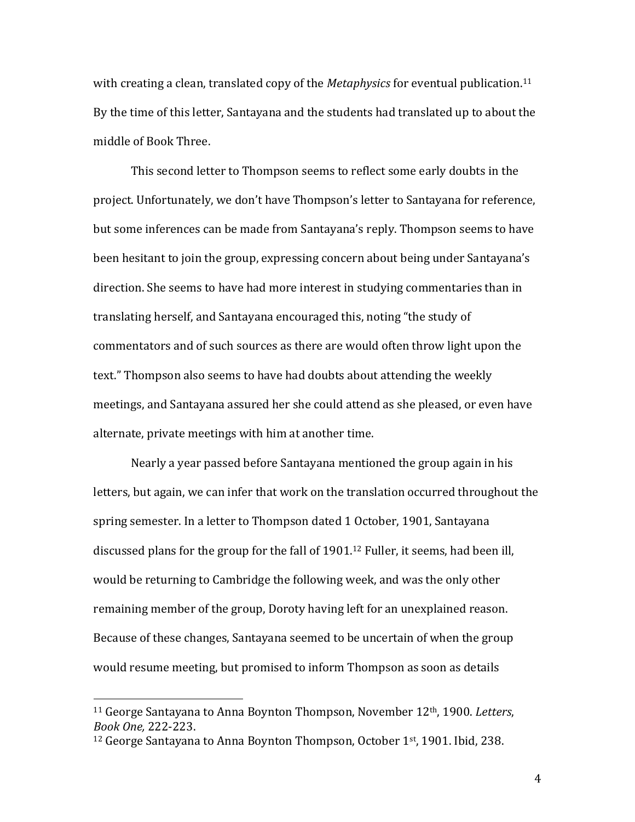with creating a clean, translated copy of the *Metaphysics* for eventual publication.<sup>11</sup> By the time of this letter, Santayana and the students had translated up to about the middle of Book Three.

This second letter to Thompson seems to reflect some early doubts in the project. Unfortunately, we don't have Thompson's letter to Santayana for reference, but some inferences can be made from Santavana's reply. Thompson seems to have been hesitant to join the group, expressing concern about being under Santayana's direction. She seems to have had more interest in studying commentaries than in translating herself, and Santayana encouraged this, noting "the study of commentators and of such sources as there are would often throw light upon the text." Thompson also seems to have had doubts about attending the weekly meetings, and Santayana assured her she could attend as she pleased, or even have alternate, private meetings with him at another time.

Nearly a year passed before Santayana mentioned the group again in his letters, but again, we can infer that work on the translation occurred throughout the spring semester. In a letter to Thompson dated 1 October, 1901, Santayana discussed plans for the group for the fall of 1901.<sup>12</sup> Fuller, it seems, had been ill, would be returning to Cambridge the following week, and was the only other remaining member of the group, Doroty having left for an unexplained reason. Because of these changes, Santayana seemed to be uncertain of when the group would resume meeting, but promised to inform Thompson as soon as details

 

<sup>&</sup>lt;sup>11</sup> George Santayana to Anna Boynton Thompson, November 12<sup>th</sup>, 1900. Letters, *Book One,* 222-223.

<sup>&</sup>lt;sup>12</sup> George Santayana to Anna Boynton Thompson, October  $1<sup>st</sup>$ , 1901. Ibid, 238.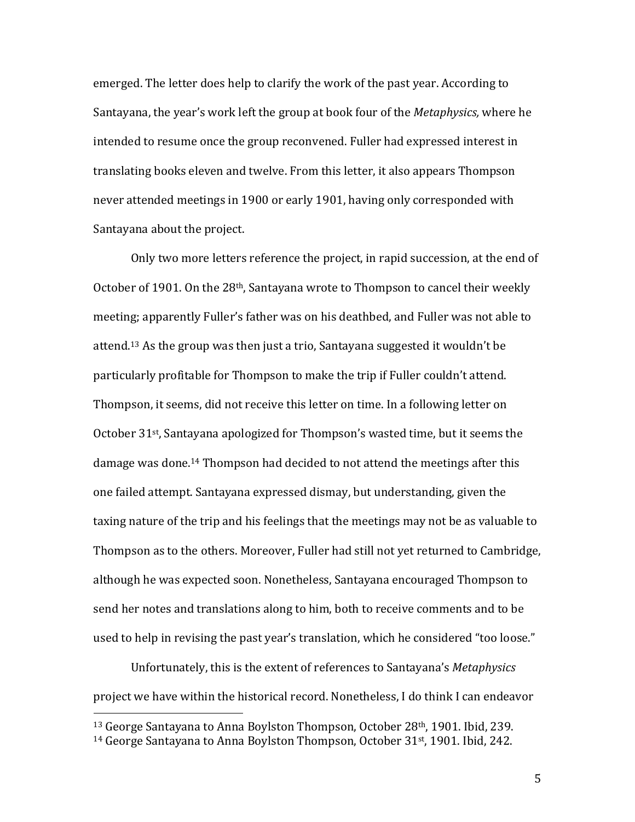emerged. The letter does help to clarify the work of the past year. According to Santayana, the year's work left the group at book four of the *Metaphysics*, where he intended to resume once the group reconvened. Fuller had expressed interest in translating books eleven and twelve. From this letter, it also appears Thompson never attended meetings in 1900 or early 1901, having only corresponded with Santayana about the project.

Only two more letters reference the project, in rapid succession, at the end of October of 1901. On the 28<sup>th</sup>, Santayana wrote to Thompson to cancel their weekly meeting; apparently Fuller's father was on his deathbed, and Fuller was not able to attend.<sup>13</sup> As the group was then just a trio, Santayana suggested it wouldn't be particularly profitable for Thompson to make the trip if Fuller couldn't attend. Thompson, it seems, did not receive this letter on time. In a following letter on October 31<sup>st</sup>, Santayana apologized for Thompson's wasted time, but it seems the damage was done.<sup>14</sup> Thompson had decided to not attend the meetings after this one failed attempt. Santayana expressed dismay, but understanding, given the taxing nature of the trip and his feelings that the meetings may not be as valuable to Thompson as to the others. Moreover, Fuller had still not vet returned to Cambridge, although he was expected soon. Nonetheless, Santayana encouraged Thompson to send her notes and translations along to him, both to receive comments and to be used to help in revising the past year's translation, which he considered "too loose."

Unfortunately, this is the extent of references to Santayana's Metaphysics project we have within the historical record. Nonetheless, I do think I can endeavor

 

<sup>&</sup>lt;sup>13</sup> George Santayana to Anna Boylston Thompson, October  $28<sup>th</sup>$ , 1901. Ibid, 239.

<sup>&</sup>lt;sup>14</sup> George Santayana to Anna Boylston Thompson, October  $31<sup>st</sup>$ , 1901. Ibid, 242.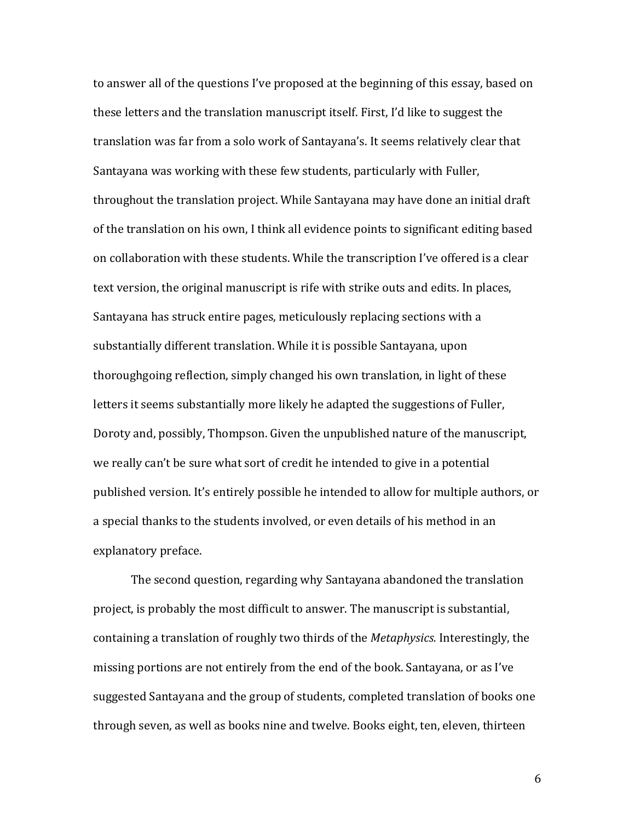to answer all of the questions I've proposed at the beginning of this essay, based on these letters and the translation manuscript itself. First, I'd like to suggest the translation was far from a solo work of Santayana's. It seems relatively clear that Santayana was working with these few students, particularly with Fuller, throughout the translation project. While Santayana may have done an initial draft of the translation on his own. I think all evidence points to significant editing based on collaboration with these students. While the transcription I've offered is a clear text version, the original manuscript is rife with strike outs and edits. In places, Santayana has struck entire pages, meticulously replacing sections with a substantially different translation. While it is possible Santayana, upon thoroughgoing reflection, simply changed his own translation, in light of these letters it seems substantially more likely he adapted the suggestions of Fuller, Doroty and, possibly, Thompson. Given the unpublished nature of the manuscript, we really can't be sure what sort of credit he intended to give in a potential published version. It's entirely possible he intended to allow for multiple authors, or a special thanks to the students involved, or even details of his method in an explanatory preface.

The second question, regarding why Santayana abandoned the translation project, is probably the most difficult to answer. The manuscript is substantial, containing a translation of roughly two thirds of the *Metaphysics*. Interestingly, the missing portions are not entirely from the end of the book. Santayana, or as I've suggested Santayana and the group of students, completed translation of books one through seven, as well as books nine and twelve. Books eight, ten, eleven, thirteen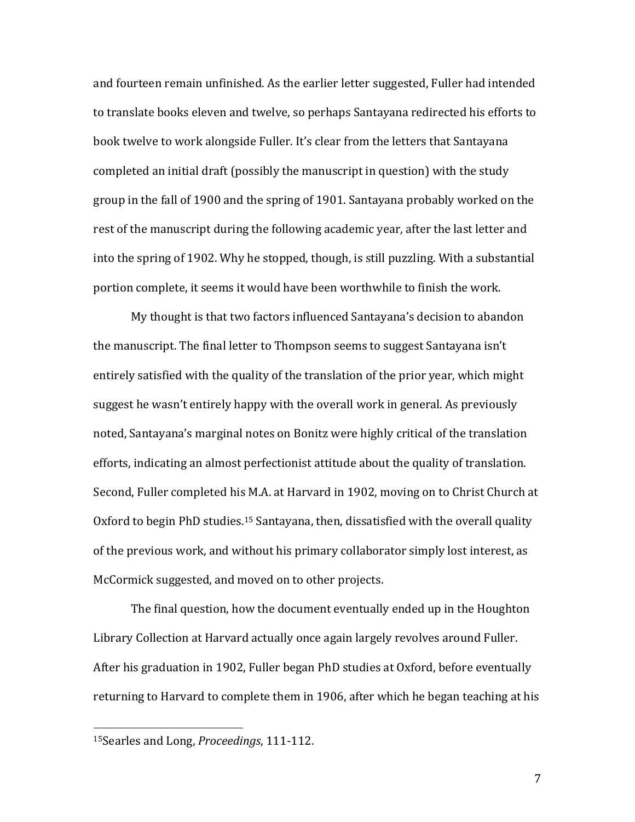and fourteen remain unfinished. As the earlier letter suggested, Fuller had intended to translate books eleven and twelve, so perhaps Santayana redirected his efforts to book twelve to work alongside Fuller. It's clear from the letters that Santayana completed an initial draft (possibly the manuscript in question) with the study group in the fall of 1900 and the spring of 1901. Santayana probably worked on the rest of the manuscript during the following academic year, after the last letter and into the spring of 1902. Why he stopped, though, is still puzzling. With a substantial portion complete, it seems it would have been worthwhile to finish the work.

My thought is that two factors influenced Santayana's decision to abandon the manuscript. The final letter to Thompson seems to suggest Santayana isn't entirely satisfied with the quality of the translation of the prior year, which might suggest he wasn't entirely happy with the overall work in general. As previously noted, Santayana's marginal notes on Bonitz were highly critical of the translation efforts, indicating an almost perfectionist attitude about the quality of translation. Second, Fuller completed his M.A. at Harvard in 1902, moving on to Christ Church at Oxford to begin PhD studies.<sup>15</sup> Santayana, then, dissatisfied with the overall quality of the previous work, and without his primary collaborator simply lost interest, as McCormick suggested, and moved on to other projects.

The final question, how the document eventually ended up in the Houghton Library Collection at Harvard actually once again largely revolves around Fuller. After his graduation in 1902, Fuller began PhD studies at Oxford, before eventually returning to Harvard to complete them in 1906, after which he began teaching at his

<sup>15</sup>Searles and Long, *Proceedings*, 111-112.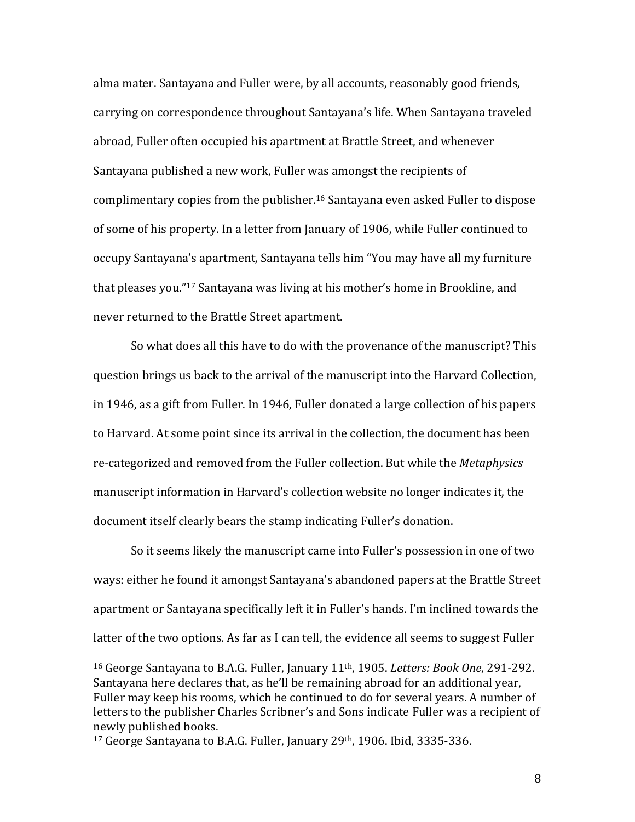alma mater. Santayana and Fuller were, by all accounts, reasonably good friends, carrying on correspondence throughout Santayana's life. When Santayana traveled abroad, Fuller often occupied his apartment at Brattle Street, and whenever Santayana published a new work, Fuller was amongst the recipients of complimentary copies from the publisher.<sup>16</sup> Santayana even asked Fuller to dispose of some of his property. In a letter from January of 1906, while Fuller continued to occupy Santayana's apartment, Santayana tells him "You may have all my furniture that pleases you."<sup>17</sup> Santayana was living at his mother's home in Brookline, and never returned to the Brattle Street apartment.

So what does all this have to do with the provenance of the manuscript? This question brings us back to the arrival of the manuscript into the Harvard Collection, in 1946, as a gift from Fuller. In 1946, Fuller donated a large collection of his papers to Harvard. At some point since its arrival in the collection, the document has been re-categorized and removed from the Fuller collection. But while the *Metaphysics* manuscript information in Harvard's collection website no longer indicates it, the document itself clearly bears the stamp indicating Fuller's donation.

So it seems likely the manuscript came into Fuller's possession in one of two ways: either he found it amongst Santayana's abandoned papers at the Brattle Street apartment or Santayana specifically left it in Fuller's hands. I'm inclined towards the latter of the two options. As far as I can tell, the evidence all seems to suggest Fuller

 

<sup>&</sup>lt;sup>16</sup> George Santayana to B.A.G. Fuller, January 11<sup>th</sup>, 1905. *Letters: Book One*, 291-292. Santayana here declares that, as he'll be remaining abroad for an additional year, Fuller may keep his rooms, which he continued to do for several years. A number of letters to the publisher Charles Scribner's and Sons indicate Fuller was a recipient of newly published books.

<sup>&</sup>lt;sup>17</sup> George Santayana to B.A.G. Fuller, January  $29<sup>th</sup>$ , 1906. Ibid, 3335-336.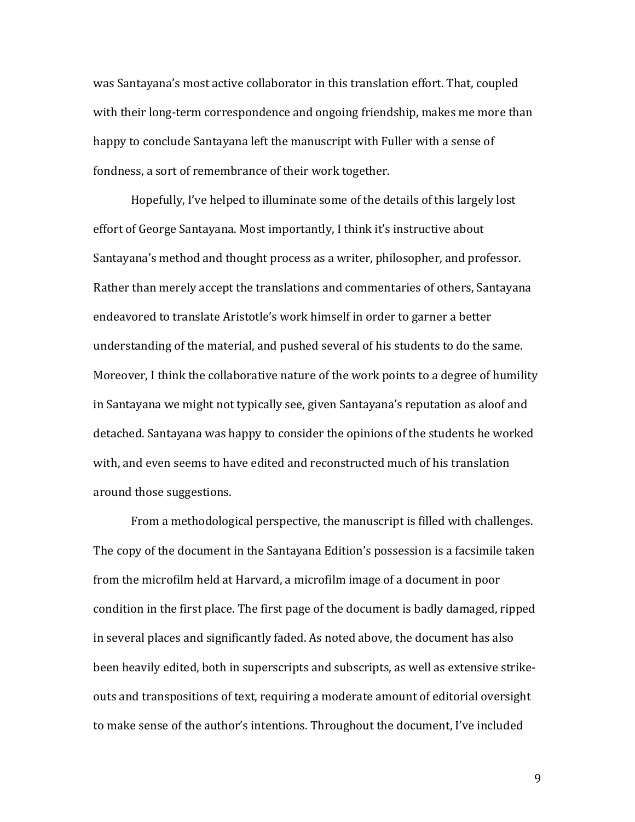was Santayana's most active collaborator in this translation effort. That, coupled with their long-term correspondence and ongoing friendship, makes me more than happy to conclude Santayana left the manuscript with Fuller with a sense of fondness, a sort of remembrance of their work together.

Hopefully, I've helped to illuminate some of the details of this largely lost effort of George Santayana. Most importantly, I think it's instructive about Santayana's method and thought process as a writer, philosopher, and professor. Rather than merely accept the translations and commentaries of others, Santayana endeavored to translate Aristotle's work himself in order to garner a better understanding of the material, and pushed several of his students to do the same. Moreover, I think the collaborative nature of the work points to a degree of humility in Santayana we might not typically see, given Santayana's reputation as aloof and detached. Santayana was happy to consider the opinions of the students he worked with, and even seems to have edited and reconstructed much of his translation around those suggestions.

From a methodological perspective, the manuscript is filled with challenges. The copy of the document in the Santayana Edition's possession is a facsimile taken from the microfilm held at Harvard, a microfilm image of a document in poor condition in the first place. The first page of the document is badly damaged, ripped in several places and significantly faded. As noted above, the document has also been heavily edited, both in superscripts and subscripts, as well as extensive strikeouts and transpositions of text, requiring a moderate amount of editorial oversight to make sense of the author's intentions. Throughout the document, I've included